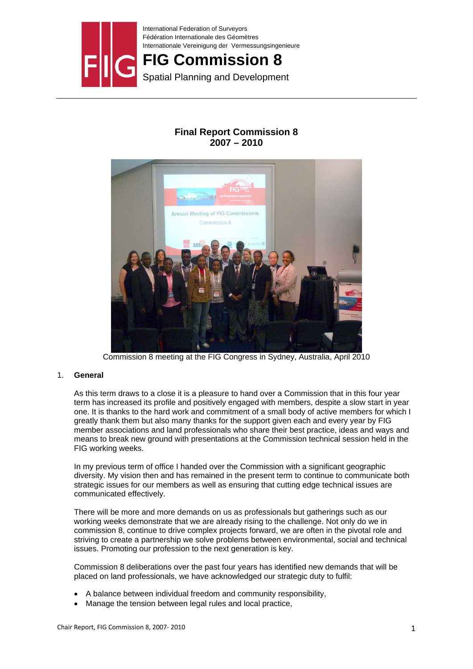

# **FIG Commission 8**

Spatial Planning and Development

# **Final Report Commission 8 2007 – 2010**



Commission 8 meeting at the FIG Congress in Sydney, Australia, April 2010

# 1. **General**

As this term draws to a close it is a pleasure to hand over a Commission that in this four year term has increased its profile and positively engaged with members, despite a slow start in year one. It is thanks to the hard work and commitment of a small body of active members for which I greatly thank them but also many thanks for the support given each and every year by FIG member associations and land professionals who share their best practice, ideas and ways and means to break new ground with presentations at the Commission technical session held in the FIG working weeks.

In my previous term of office I handed over the Commission with a significant geographic diversity. My vision then and has remained in the present term to continue to communicate both strategic issues for our members as well as ensuring that cutting edge technical issues are communicated effectively.

There will be more and more demands on us as professionals but gatherings such as our working weeks demonstrate that we are already rising to the challenge. Not only do we in commission 8, continue to drive complex projects forward, we are often in the pivotal role and striving to create a partnership we solve problems between environmental, social and technical issues. Promoting our profession to the next generation is key.

Commission 8 deliberations over the past four years has identified new demands that will be placed on land professionals, we have acknowledged our strategic duty to fulfil:

- A balance between individual freedom and community responsibility,
- Manage the tension between legal rules and local practice,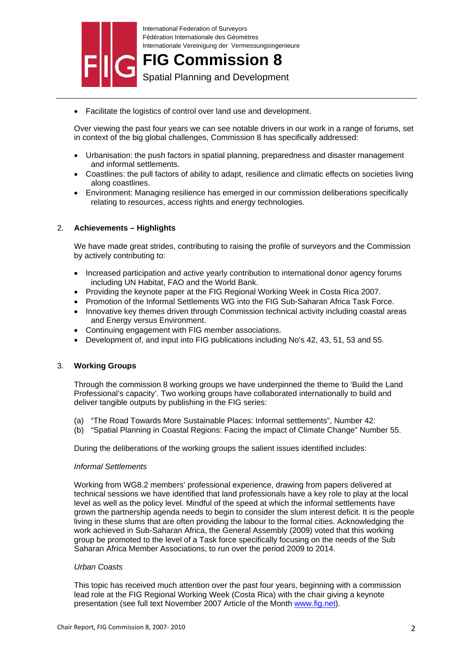

**FIG Commission 8** Spatial Planning and Development

- 
- Facilitate the logistics of control over land use and development.

Over viewing the past four years we can see notable drivers in our work in a range of forums, set in context of the big global challenges, Commission 8 has specifically addressed:

- Urbanisation: the push factors in spatial planning, preparedness and disaster management and informal settlements.
- Coastlines: the pull factors of ability to adapt, resilience and climatic effects on societies living along coastlines.
- Environment: Managing resilience has emerged in our commission deliberations specifically relating to resources, access rights and energy technologies.

# 2. **Achievements – Highlights**

We have made great strides, contributing to raising the profile of surveyors and the Commission by actively contributing to:

- Increased participation and active yearly contribution to international donor agency forums including UN Habitat, FAO and the World Bank.
- Providing the keynote paper at the FIG Regional Working Week in Costa Rica 2007.
- Promotion of the Informal Settlements WG into the FIG Sub-Saharan Africa Task Force.
- Innovative key themes driven through Commission technical activity including coastal areas and Energy versus Environment.
- Continuing engagement with FIG member associations.
- Development of, and input into FIG publications including No's 42, 43, 51, 53 and 55.

### 3. **Working Groups**

Through the commission 8 working groups we have underpinned the theme to 'Build the Land Professional's capacity'. Two working groups have collaborated internationally to build and deliver tangible outputs by publishing in the FIG series:

- (a) "The Road Towards More Sustainable Places: Informal settlements", Number 42:
- (b) "Spatial Planning in Coastal Regions: Facing the impact of Climate Change" Number 55.

During the deliberations of the working groups the salient issues identified includes:

### *Informal Settlements*

Working from WG8.2 members' professional experience, drawing from papers delivered at technical sessions we have identified that land professionals have a key role to play at the local level as well as the policy level. Mindful of the speed at which the informal settlements have grown the partnership agenda needs to begin to consider the slum interest deficit. It is the people living in these slums that are often providing the labour to the formal cities. Acknowledging the work achieved in Sub-Saharan Africa, the General Assembly (2009) voted that this working group be promoted to the level of a Task force specifically focusing on the needs of the Sub Saharan Africa Member Associations, to run over the period 2009 to 2014.

### *Urban Coasts*

This topic has received much attention over the past four years, beginning with a commission lead role at the FIG Regional Working Week (Costa Rica) with the chair giving a keynote presentation (see full text November 2007 Article of the Month www.fig.net).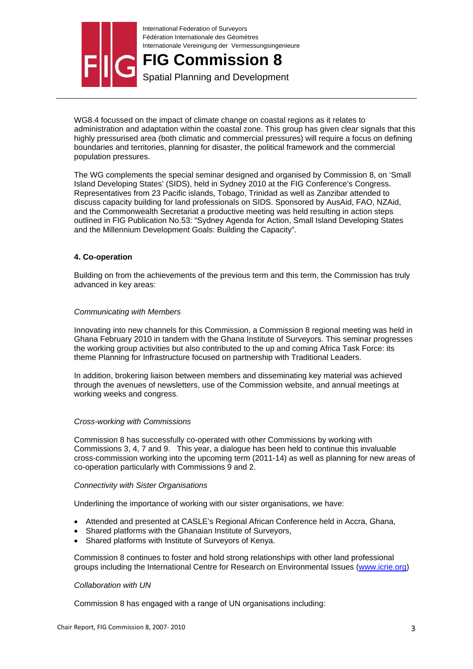

**FIG Commission 8**

Spatial Planning and Development

WG8.4 focussed on the impact of climate change on coastal regions as it relates to administration and adaptation within the coastal zone. This group has given clear signals that this highly pressurised area (both climatic and commercial pressures) will require a focus on defining boundaries and territories, planning for disaster, the political framework and the commercial population pressures.

The WG complements the special seminar designed and organised by Commission 8, on 'Small Island Developing States' (SIDS), held in Sydney 2010 at the FIG Conference's Congress. Representatives from 23 Pacific islands, Tobago, Trinidad as well as Zanzibar attended to discuss capacity building for land professionals on SIDS. Sponsored by AusAid, FAO, NZAid, and the Commonwealth Secretariat a productive meeting was held resulting in action steps outlined in FIG Publication No.53: "Sydney Agenda for Action, Small Island Developing States and the Millennium Development Goals: Building the Capacity".

# **4. Co-operation**

Building on from the achievements of the previous term and this term, the Commission has truly advanced in key areas:

# *Communicating with Members*

Innovating into new channels for this Commission, a Commission 8 regional meeting was held in Ghana February 2010 in tandem with the Ghana Institute of Surveyors. This seminar progresses the working group activities but also contributed to the up and coming Africa Task Force: its theme Planning for Infrastructure focused on partnership with Traditional Leaders.

In addition, brokering liaison between members and disseminating key material was achieved through the avenues of newsletters, use of the Commission website, and annual meetings at working weeks and congress.

### *Cross-working with Commissions*

Commission 8 has successfully co-operated with other Commissions by working with Commissions 3, 4, 7 and 9. This year, a dialogue has been held to continue this invaluable cross-commission working into the upcoming term (2011-14) as well as planning for new areas of co-operation particularly with Commissions 9 and 2.

### *Connectivity with Sister Organisations*

Underlining the importance of working with our sister organisations, we have:

- Attended and presented at CASLE's Regional African Conference held in Accra, Ghana,
- Shared platforms with the Ghanaian Institute of Surveyors,
- Shared platforms with Institute of Surveyors of Kenya.

Commission 8 continues to foster and hold strong relationships with other land professional groups including the International Centre for Research on Environmental Issues (www.icrie.org)

### *Collaboration with UN*

Commission 8 has engaged with a range of UN organisations including: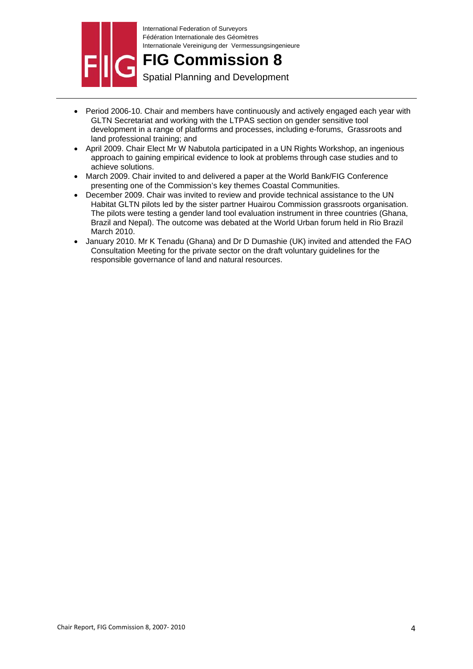

# **FIG Commission 8**

Spatial Planning and Development

- Period 2006-10. Chair and members have continuously and actively engaged each year with GLTN Secretariat and working with the LTPAS section on gender sensitive tool development in a range of platforms and processes, including e-forums, Grassroots and land professional training; and
- April 2009. Chair Elect Mr W Nabutola participated in a UN Rights Workshop, an ingenious approach to gaining empirical evidence to look at problems through case studies and to achieve solutions.
- March 2009. Chair invited to and delivered a paper at the World Bank/FIG Conference presenting one of the Commission's key themes Coastal Communities.
- December 2009. Chair was invited to review and provide technical assistance to the UN Habitat GLTN pilots led by the sister partner Huairou Commission grassroots organisation. The pilots were testing a gender land tool evaluation instrument in three countries (Ghana, Brazil and Nepal). The outcome was debated at the World Urban forum held in Rio Brazil March 2010.
- January 2010. Mr K Tenadu (Ghana) and Dr D Dumashie (UK) invited and attended the FAO Consultation Meeting for the private sector on the draft voluntary guidelines for the responsible governance of land and natural resources.